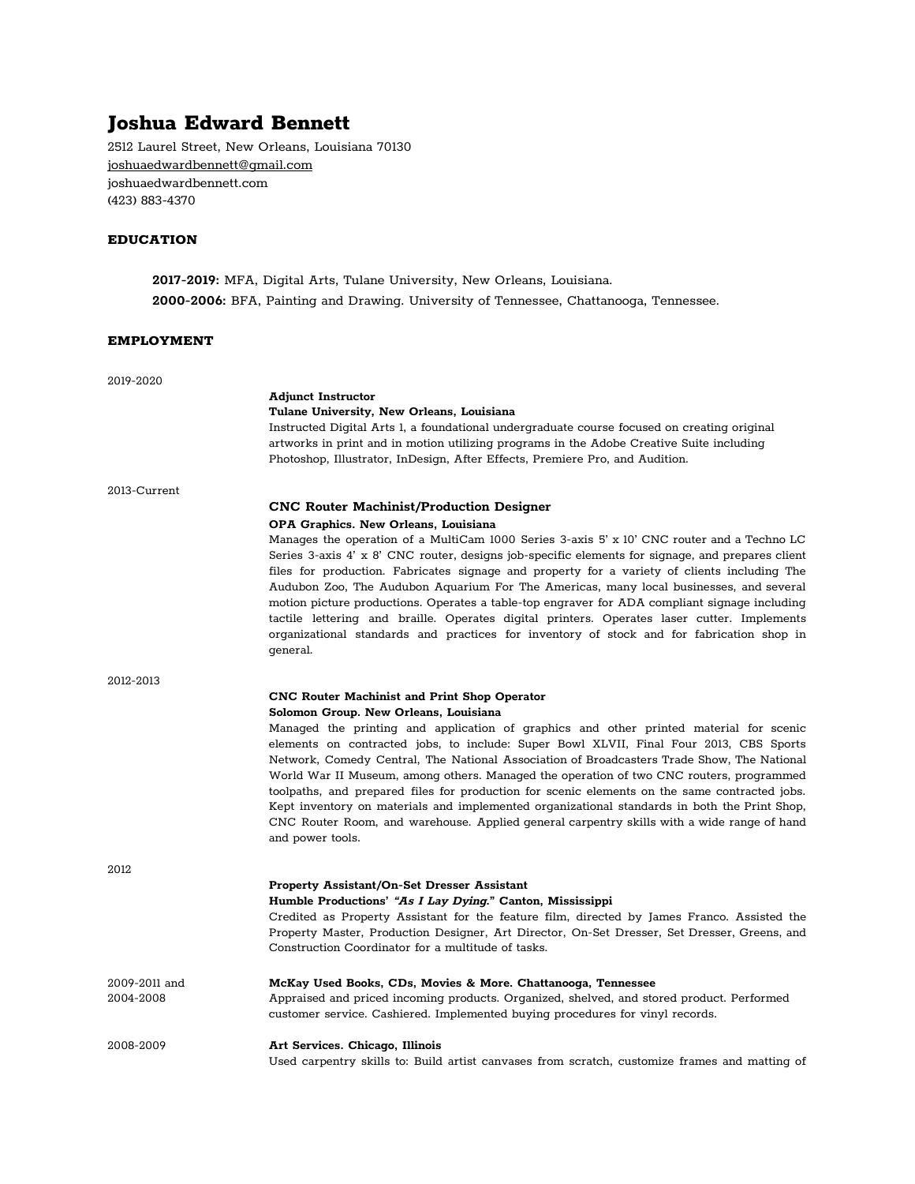# **Joshua Edward Bennett**

2512 Laurel Street, New Orleans, Louisiana 70130 [joshuaedwardbennett@gmail.com](mailto:joshuaedwardbennett@gmail.com) joshuaedwardbennett.com (423) 883-4370

## **EDUCATION**

**2017-2019:** MFA, Digital Arts, Tulane University, New Orleans, Louisiana. **2000-2006:** BFA, Painting and Drawing. University of Tennessee, Chattanooga, Tennessee.

#### **EMPLOYMENT**

2019-2020 **Adjunct Instructor Tulane University, New Orleans, Louisiana** Instructed Digital Arts 1, a foundational undergraduate course focused on creating original artworks in print and in motion utilizing programs in the Adobe Creative Suite including Photoshop, Illustrator, InDesign, After Effects, Premiere Pro, and Audition. 2013-Current **CNC Router Machinist/Production Designer OPA Graphics. New Orleans, Louisiana** Manages the operation of a MultiCam 1000 Series 3-axis 5' x 10' CNC router and a Techno LC Series 3-axis 4' x 8' CNC router, designs job-specific elements for signage, and prepares client files for production. Fabricates signage and property for a variety of clients including The Audubon Zoo, The Audubon Aquarium For The Americas, many local businesses, and several motion picture productions. Operates a table-top engraver for ADA compliant signage including tactile lettering and braille. Operates digital printers. Operates laser cutter. Implements organizational standards and practices for inventory of stock and for fabrication shop in general. 2012-2013 **CNC Router Machinist and Print Shop Operator Solomon Group. New Orleans, Louisiana** Managed the printing and application of graphics and other printed material for scenic elements on contracted jobs, to include: Super Bowl XLVII, Final Four 2013, CBS Sports Network, Comedy Central, The National Association of Broadcasters Trade Show, The National World War II Museum, among others. Managed the operation of two CNC routers, programmed toolpaths, and prepared files for production for scenic elements on the same contracted jobs. Kept inventory on materials and implemented organizational standards in both the Print Shop, CNC Router Room, and warehouse. Applied general carpentry skills with a wide range of hand and power tools. 2012 **Property Assistant/On-Set Dresser Assistant Humble Productions' "As <sup>I</sup> Lay Dying." Canton, Mississippi** Credited as Property Assistant for the feature film, directed by James Franco. Assisted the Property Master, Production Designer, Art Director, On-Set Dresser, Set Dresser, Greens, and Construction Coordinator for a multitude of tasks. 2009-2011 and **McKay Used Books, CDs, Movies & More. Chattanooga, Tennessee** 2004-2008 Appraised and priced incoming products. Organized, shelved, and stored product. Performed customer service. Cashiered. Implemented buying procedures for vinyl records. 2008-2009 **Art Services. Chicago, Illinois** Used carpentry skills to: Build artist canvases from scratch, customize frames and matting of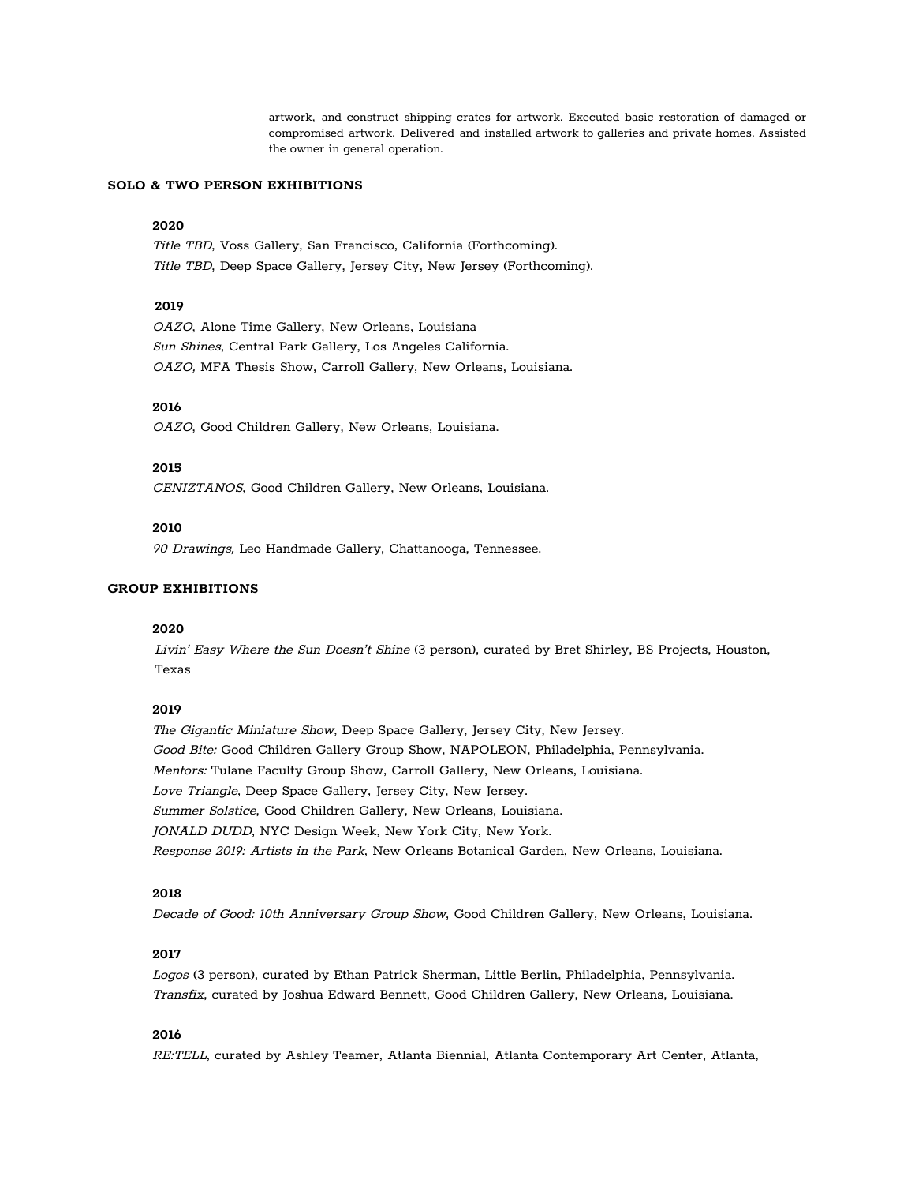artwork, and construct shipping crates for artwork. Executed basic restoration of damaged or compromised artwork. Delivered and installed artwork to galleries and private homes. Assisted the owner in general operation.

#### **SOLO & TWO PERSON EXHIBITIONS**

#### **2020**

Title TBD, Voss Gallery, San Francisco, California (Forthcoming). Title TBD, Deep Space Gallery, Jersey City, New Jersey (Forthcoming).

# **2019**

OAZO, Alone Time Gallery, New Orleans, Louisiana Sun Shines, Central Park Gallery, Los Angeles California. OAZO, MFA Thesis Show, Carroll Gallery, New Orleans, Louisiana.

#### **2016**

OAZO, Good Children Gallery, New Orleans, Louisiana.

## **2015**

CENIZTANOS, Good Children Gallery, New Orleans, Louisiana.

#### **2010**

<sup>90</sup> Drawings, Leo Handmade Gallery, Chattanooga, Tennessee.

## **GROUP EXHIBITIONS**

#### **2020**

Livin' Easy Where the Sun Doesn't Shine (3 person), curated by Bret Shirley, BS Projects, Houston, Texas

#### **2019**

The Gigantic Miniature Show, Deep Space Gallery, Jersey City, New Jersey. Good Bite: Good Children Gallery Group Show, NAPOLEON, Philadelphia, Pennsylvania. Mentors: Tulane Faculty Group Show, Carroll Gallery, New Orleans, Louisiana. Love Triangle, Deep Space Gallery, Jersey City, New Jersey. Summer Solstice, Good Children Gallery, New Orleans, Louisiana. JONALD DUDD, NYC Design Week, New York City, New York. Response 2019: Artists in the Park, New Orleans Botanical Garden, New Orleans, Louisiana.

#### **2018**

Decade of Good: 10th Anniversary Group Show, Good Children Gallery, New Orleans, Louisiana.

## **2017**

Logos (3 person), curated by Ethan Patrick Sherman, Little Berlin, Philadelphia, Pennsylvania. Transfix, curated by Joshua Edward Bennett, Good Children Gallery, New Orleans, Louisiana.

#### **2016**

RE:TELL, curated by Ashley Teamer, Atlanta Biennial, Atlanta Contemporary Art Center, Atlanta,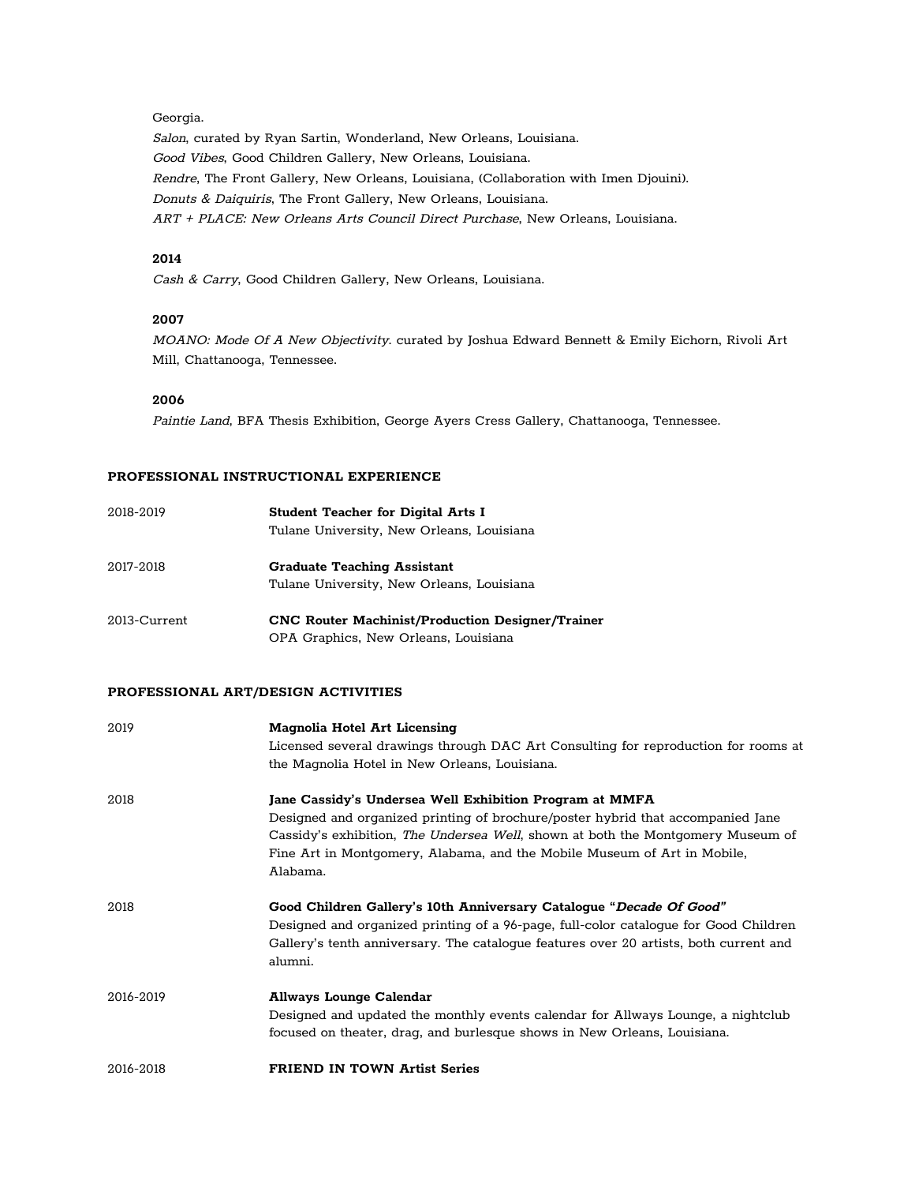#### Georgia.

Salon, curated by Ryan Sartin, Wonderland, New Orleans, Louisiana. Good Vibes, Good Children Gallery, New Orleans, Louisiana. Rendre, The Front Gallery, New Orleans, Louisiana, (Collaboration with Imen Djouini). Donuts & Daiquiris, The Front Gallery, New Orleans, Louisiana. ART <sup>+</sup> PLACE: New Orleans Arts Council Direct Purchase, New Orleans, Louisiana.

## **2014**

Cash & Carry, Good Children Gallery, New Orleans, Louisiana.

## **2007**

MOANO: Mode Of <sup>A</sup> New Objectivity. curated by Joshua Edward Bennett & Emily Eichorn, Rivoli Art Mill, Chattanooga, Tennessee.

## **2006**

Paintie Land, BFA Thesis Exhibition, George Ayers Cress Gallery, Chattanooga, Tennessee.

## **PROFESSIONAL INSTRUCTIONAL EXPERIENCE**

| 2018-2019    | <b>Student Teacher for Digital Arts I</b>               |
|--------------|---------------------------------------------------------|
|              | Tulane University, New Orleans, Louisiana               |
| 2017-2018    | <b>Graduate Teaching Assistant</b>                      |
|              | Tulane University, New Orleans, Louisiana               |
| 2013-Current | <b>CNC Router Machinist/Production Designer/Trainer</b> |
|              | OPA Graphics, New Orleans, Louisiana                    |

## **PROFESSIONAL ART/DESIGN ACTIVITIES**

| 2019      | <b>Magnolia Hotel Art Licensing</b>                                                   |
|-----------|---------------------------------------------------------------------------------------|
|           | Licensed several drawings through DAC Art Consulting for reproduction for rooms at    |
|           | the Magnolia Hotel in New Orleans, Louisiana.                                         |
| 2018      | Jane Cassidy's Undersea Well Exhibition Program at MMFA                               |
|           | Designed and organized printing of brochure/poster hybrid that accompanied Jane       |
|           | Cassidy's exhibition, The Undersea Well, shown at both the Montgomery Museum of       |
|           | Fine Art in Montgomery, Alabama, and the Mobile Museum of Art in Mobile,              |
|           | Alabama.                                                                              |
| 2018      | Good Children Gallery's 10th Anniversary Cataloque "Decade Of Good"                   |
|           | Designed and organized printing of a 96-page, full-color catalogue for Good Children  |
|           | Gallery's tenth anniversary. The catalogue features over 20 artists, both current and |
|           | alumni.                                                                               |
| 2016-2019 | <b>Allways Lounge Calendar</b>                                                        |
|           | Designed and updated the monthly events calendar for Allways Lounge, a nightclub      |
|           | focused on theater, drag, and burlesque shows in New Orleans, Louisiana.              |
| 2016-2018 | <b>FRIEND IN TOWN Artist Series</b>                                                   |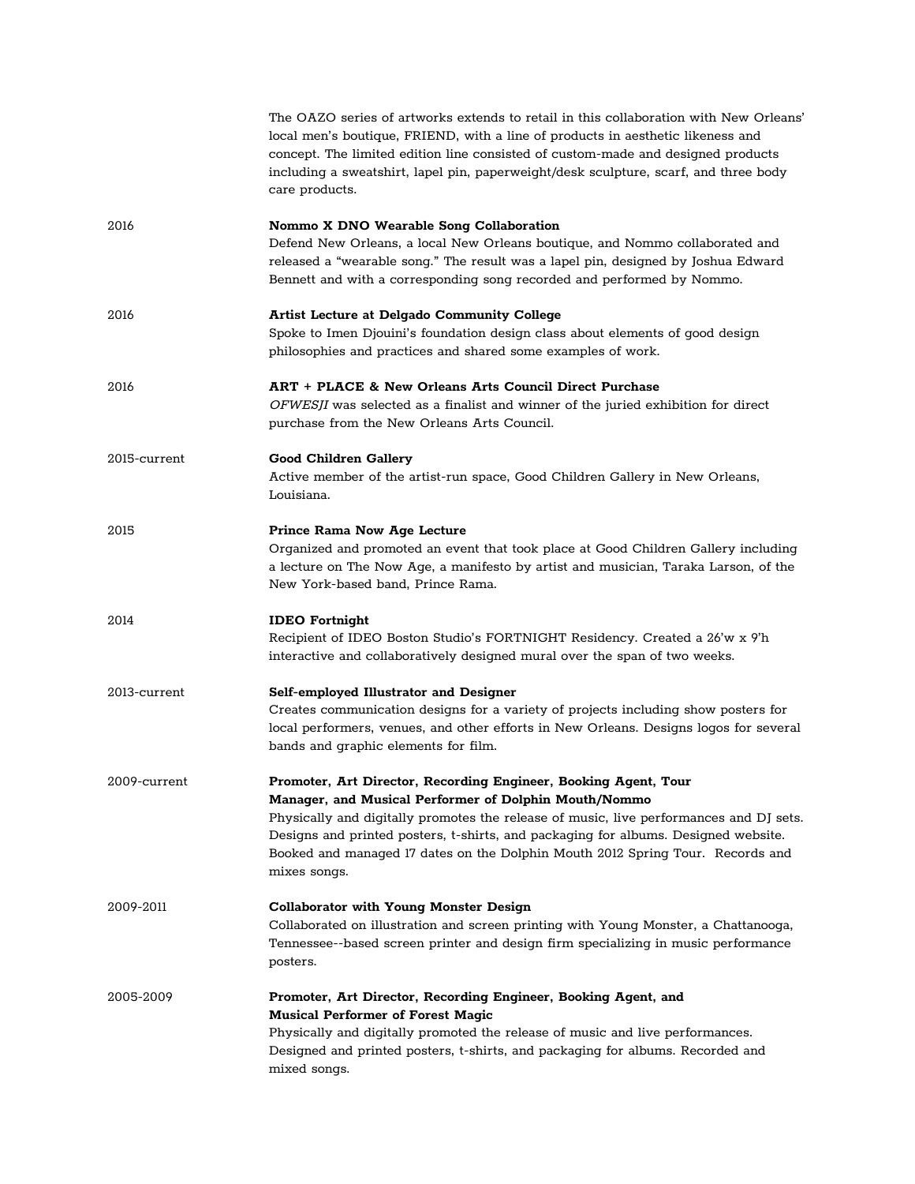|              | The OAZO series of artworks extends to retail in this collaboration with New Orleans'<br>local men's boutique, FRIEND, with a line of products in aesthetic likeness and<br>concept. The limited edition line consisted of custom-made and designed products<br>including a sweatshirt, lapel pin, paperweight/desk sculpture, scarf, and three body<br>care products.                                     |
|--------------|------------------------------------------------------------------------------------------------------------------------------------------------------------------------------------------------------------------------------------------------------------------------------------------------------------------------------------------------------------------------------------------------------------|
| 2016         | Nommo X DNO Wearable Song Collaboration<br>Defend New Orleans, a local New Orleans boutique, and Nommo collaborated and<br>released a "wearable song." The result was a lapel pin, designed by Joshua Edward<br>Bennett and with a corresponding song recorded and performed by Nommo.                                                                                                                     |
| 2016         | <b>Artist Lecture at Delgado Community College</b><br>Spoke to Imen Djouini's foundation design class about elements of good design<br>philosophies and practices and shared some examples of work.                                                                                                                                                                                                        |
| 2016         | <b>ART + PLACE &amp; New Orleans Arts Council Direct Purchase</b><br>OFWESJI was selected as a finalist and winner of the juried exhibition for direct<br>purchase from the New Orleans Arts Council.                                                                                                                                                                                                      |
| 2015-current | <b>Good Children Gallery</b><br>Active member of the artist-run space, Good Children Gallery in New Orleans,<br>Louisiana.                                                                                                                                                                                                                                                                                 |
| 2015         | <b>Prince Rama Now Age Lecture</b><br>Organized and promoted an event that took place at Good Children Gallery including<br>a lecture on The Now Age, a manifesto by artist and musician, Taraka Larson, of the<br>New York-based band, Prince Rama.                                                                                                                                                       |
| 2014         | <b>IDEO</b> Fortnight<br>Recipient of IDEO Boston Studio's FORTNIGHT Residency. Created a 26'w x 9'h<br>interactive and collaboratively designed mural over the span of two weeks.                                                                                                                                                                                                                         |
| 2013-current | Self-employed Illustrator and Designer<br>Creates communication designs for a variety of projects including show posters for<br>local performers, venues, and other efforts in New Orleans. Designs logos for several<br>bands and graphic elements for film.                                                                                                                                              |
| 2009-current | Promoter, Art Director, Recording Engineer, Booking Agent, Tour<br>Manager, and Musical Performer of Dolphin Mouth/Nommo<br>Physically and digitally promotes the release of music, live performances and DJ sets.<br>Designs and printed posters, t-shirts, and packaging for albums. Designed website.<br>Booked and managed 17 dates on the Dolphin Mouth 2012 Spring Tour. Records and<br>mixes songs. |
| 2009-2011    | <b>Collaborator with Young Monster Design</b><br>Collaborated on illustration and screen printing with Young Monster, a Chattanooga,<br>Tennessee--based screen printer and design firm specializing in music performance<br>posters.                                                                                                                                                                      |
| 2005-2009    | Promoter, Art Director, Recording Engineer, Booking Agent, and<br><b>Musical Performer of Forest Magic</b><br>Physically and digitally promoted the release of music and live performances.<br>Designed and printed posters, t-shirts, and packaging for albums. Recorded and<br>mixed songs.                                                                                                              |